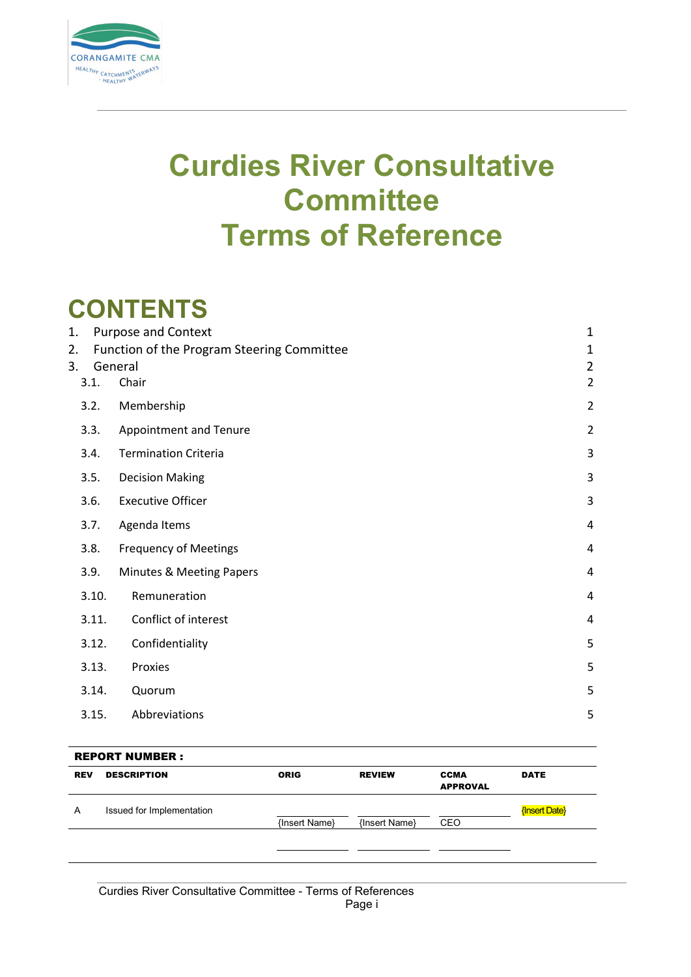

# **Curdies River Consultative Committee Terms of Reference**

# **CONTENTS**

| 1. |       | <b>Purpose and Context</b>                 | $\mathbf 1$    |
|----|-------|--------------------------------------------|----------------|
| 2. |       | Function of the Program Steering Committee | $\mathbf{1}$   |
| 3. |       | General                                    | $\overline{2}$ |
|    | 3.1.  | Chair                                      | $\overline{2}$ |
|    | 3.2.  | Membership                                 | $\overline{2}$ |
|    | 3.3.  | Appointment and Tenure                     | $\overline{2}$ |
|    | 3.4.  | <b>Termination Criteria</b>                | 3              |
|    | 3.5.  | <b>Decision Making</b>                     | 3              |
|    | 3.6.  | <b>Executive Officer</b>                   | 3              |
|    | 3.7.  | Agenda Items                               | 4              |
|    | 3.8.  | <b>Frequency of Meetings</b>               | 4              |
|    | 3.9.  | Minutes & Meeting Papers                   | $\overline{4}$ |
|    | 3.10. | Remuneration                               | 4              |
|    | 3.11. | Conflict of interest                       | 4              |
|    | 3.12. | Confidentiality                            | 5              |
|    | 3.13. | Proxies                                    | 5              |
|    | 3.14. | Quorum                                     | 5              |
|    | 3.15. | Abbreviations                              | 5              |
|    |       |                                            |                |

## REPORT NUMBER : REV DESCRIPTION **ORIG** ORIG REVIEW CCMA APPROVAL DATE A Issued for Implementation {Insert Name} {Insert Name} CEO {Insert Date}

Curdies River Consultative Committee - Terms of References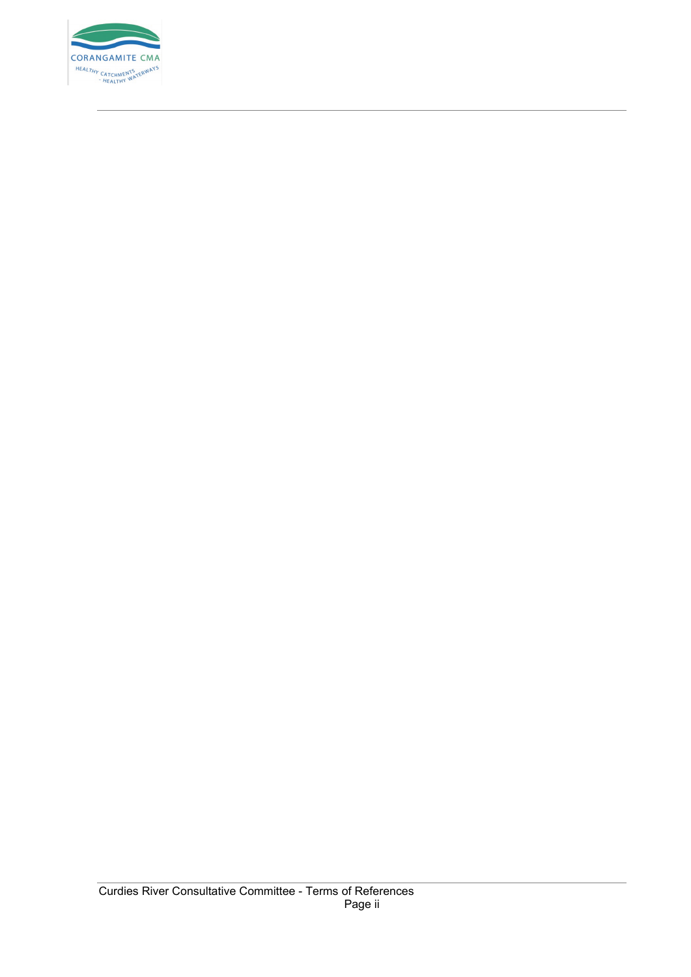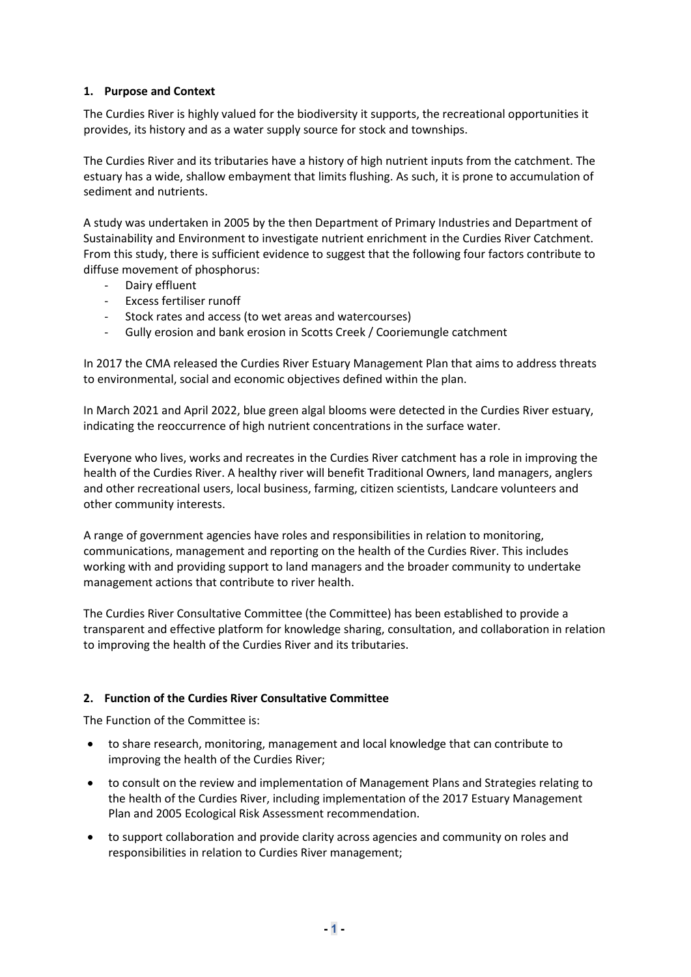## <span id="page-2-0"></span>**1. Purpose and Context**

The Curdies River is highly valued for the biodiversity it supports, the recreational opportunities it provides, its history and as a water supply source for stock and townships.

The Curdies River and its tributaries have a history of high nutrient inputs from the catchment. The estuary has a wide, shallow embayment that limits flushing. As such, it is prone to accumulation of sediment and nutrients.

A study was undertaken in 2005 by the then Department of Primary Industries and Department of Sustainability and Environment to investigate nutrient enrichment in the Curdies River Catchment. From this study, there is sufficient evidence to suggest that the following four factors contribute to diffuse movement of phosphorus:

- Dairy effluent
- Excess fertiliser runoff
- Stock rates and access (to wet areas and watercourses)
- Gully erosion and bank erosion in Scotts Creek / Cooriemungle catchment

In 2017 the CMA released the Curdies River Estuary Management Plan that aims to address threats to environmental, social and economic objectives defined within the plan.

In March 2021 and April 2022, blue green algal blooms were detected in the Curdies River estuary, indicating the reoccurrence of high nutrient concentrations in the surface water.

Everyone who lives, works and recreates in the Curdies River catchment has a role in improving the health of the Curdies River. A healthy river will benefit Traditional Owners, land managers, anglers and other recreational users, local business, farming, citizen scientists, Landcare volunteers and other community interests.

A range of government agencies have roles and responsibilities in relation to monitoring, communications, management and reporting on the health of the Curdies River. This includes working with and providing support to land managers and the broader community to undertake management actions that contribute to river health.

The Curdies River Consultative Committee (the Committee) has been established to provide a transparent and effective platform for knowledge sharing, consultation, and collaboration in relation to improving the health of the Curdies River and its tributaries.

## <span id="page-2-1"></span>**2. Function of the Curdies River Consultative Committee**

The Function of the Committee is:

- to share research, monitoring, management and local knowledge that can contribute to improving the health of the Curdies River;
- to consult on the review and implementation of Management Plans and Strategies relating to the health of the Curdies River, including implementation of the 2017 Estuary Management Plan and 2005 Ecological Risk Assessment recommendation.
- to support collaboration and provide clarity across agencies and community on roles and responsibilities in relation to Curdies River management;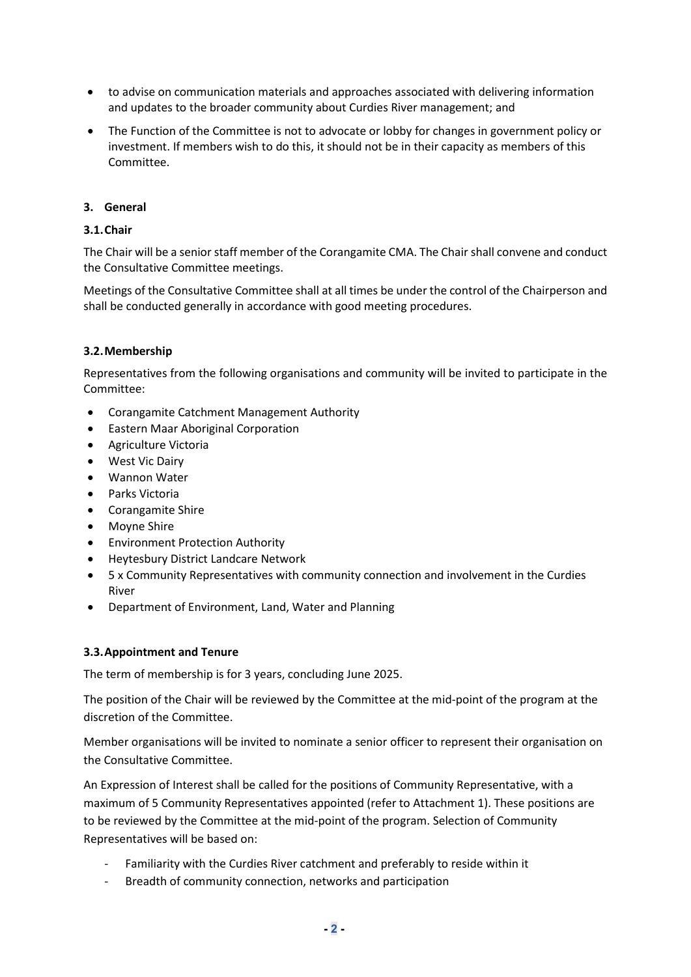- to advise on communication materials and approaches associated with delivering information and updates to the broader community about Curdies River management; and
- The Function of the Committee is not to advocate or lobby for changes in government policy or investment. If members wish to do this, it should not be in their capacity as members of this Committee.

### <span id="page-3-0"></span>**3. General**

#### <span id="page-3-1"></span>**3.1.Chair**

The Chair will be a senior staff member of the Corangamite CMA. The Chair shall convene and conduct the Consultative Committee meetings.

Meetings of the Consultative Committee shall at all times be under the control of the Chairperson and shall be conducted generally in accordance with good meeting procedures.

#### <span id="page-3-2"></span>**3.2.Membership**

Representatives from the following organisations and community will be invited to participate in the Committee:

- Corangamite Catchment Management Authority
- Eastern Maar Aboriginal Corporation
- Agriculture Victoria
- West Vic Dairy
- Wannon Water
- Parks Victoria
- Corangamite Shire
- Moyne Shire
- Environment Protection Authority
- Heytesbury District Landcare Network
- 5 x Community Representatives with community connection and involvement in the Curdies River
- Department of Environment, Land, Water and Planning

#### <span id="page-3-3"></span>**3.3.Appointment and Tenure**

The term of membership is for 3 years, concluding June 2025.

The position of the Chair will be reviewed by the Committee at the mid-point of the program at the discretion of the Committee.

Member organisations will be invited to nominate a senior officer to represent their organisation on the Consultative Committee.

An Expression of Interest shall be called for the positions of Community Representative, with a maximum of 5 Community Representatives appointed (refer to Attachment 1). These positions are to be reviewed by the Committee at the mid-point of the program. Selection of Community Representatives will be based on:

- Familiarity with the Curdies River catchment and preferably to reside within it
- Breadth of community connection, networks and participation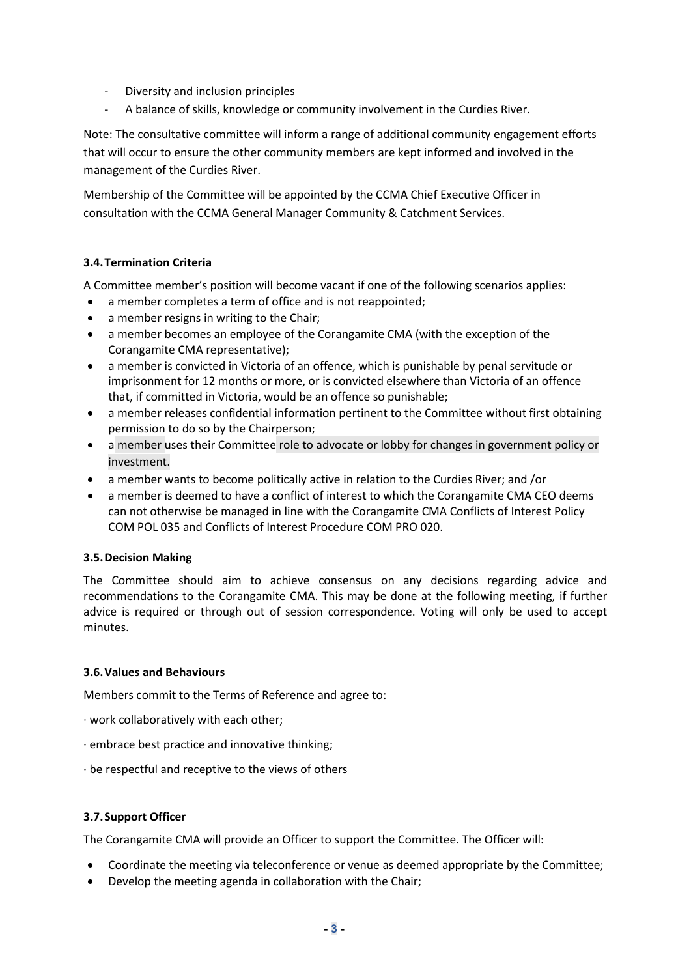- Diversity and inclusion principles
- A balance of skills, knowledge or community involvement in the Curdies River.

Note: The consultative committee will inform a range of additional community engagement efforts that will occur to ensure the other community members are kept informed and involved in the management of the Curdies River.

Membership of the Committee will be appointed by the CCMA Chief Executive Officer in consultation with the CCMA General Manager Community & Catchment Services.

#### <span id="page-4-0"></span>**3.4.Termination Criteria**

A Committee member's position will become vacant if one of the following scenarios applies:

- a member completes a term of office and is not reappointed;
- a member resigns in writing to the Chair;
- a member becomes an employee of the Corangamite CMA (with the exception of the Corangamite CMA representative);
- a member is convicted in Victoria of an offence, which is punishable by penal servitude or imprisonment for 12 months or more, or is convicted elsewhere than Victoria of an offence that, if committed in Victoria, would be an offence so punishable;
- a member releases confidential information pertinent to the Committee without first obtaining permission to do so by the Chairperson;
- a member uses their Committee role to advocate or lobby for changes in government policy or investment.
- a member wants to become politically active in relation to the Curdies River; and /or
- a member is deemed to have a conflict of interest to which the Corangamite CMA CEO deems can not otherwise be managed in line with the Corangamite CMA Conflicts of Interest Policy COM POL 035 and Conflicts of Interest Procedure COM PRO 020.

#### <span id="page-4-1"></span>**3.5.Decision Making**

The Committee should aim to achieve consensus on any decisions regarding advice and recommendations to the Corangamite CMA. This may be done at the following meeting, if further advice is required or through out of session correspondence. Voting will only be used to accept minutes.

#### **3.6.Values and Behaviours**

Members commit to the Terms of Reference and agree to:

- · work collaboratively with each other;
- · embrace best practice and innovative thinking;
- · be respectful and receptive to the views of others

#### <span id="page-4-2"></span>**3.7.Support Officer**

The Corangamite CMA will provide an Officer to support the Committee. The Officer will:

- Coordinate the meeting via teleconference or venue as deemed appropriate by the Committee;
- Develop the meeting agenda in collaboration with the Chair;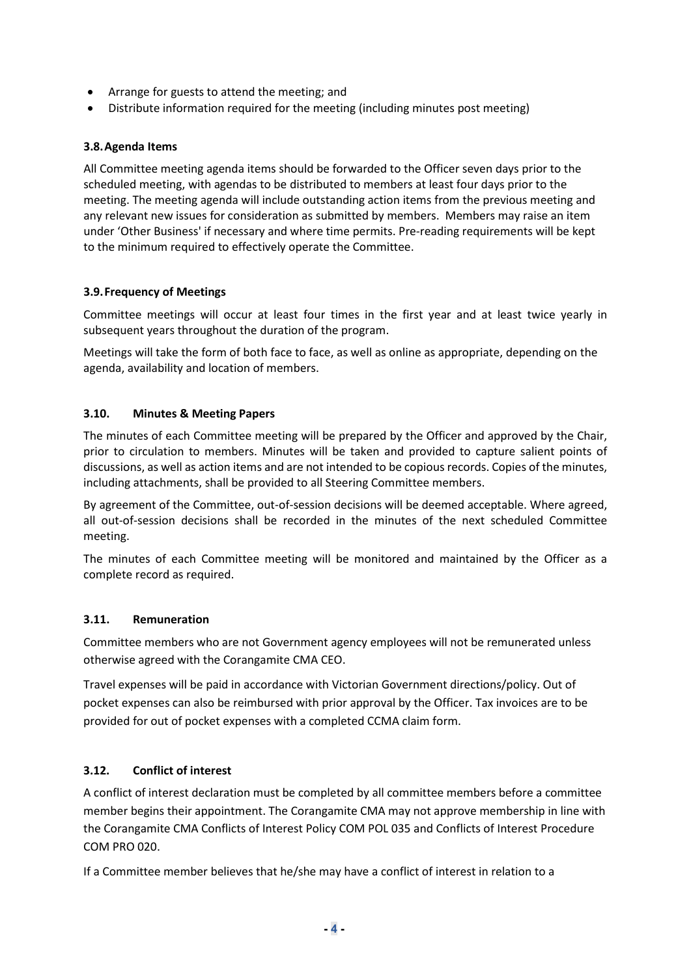- Arrange for guests to attend the meeting; and
- Distribute information required for the meeting (including minutes post meeting)

## <span id="page-5-0"></span>**3.8.Agenda Items**

All Committee meeting agenda items should be forwarded to the Officer seven days prior to the scheduled meeting, with agendas to be distributed to members at least four days prior to the meeting. The meeting agenda will include outstanding action items from the previous meeting and any relevant new issues for consideration as submitted by members. Members may raise an item under 'Other Business' if necessary and where time permits. Pre-reading requirements will be kept to the minimum required to effectively operate the Committee.

## <span id="page-5-1"></span>**3.9.Frequency of Meetings**

Committee meetings will occur at least four times in the first year and at least twice yearly in subsequent years throughout the duration of the program.

Meetings will take the form of both face to face, as well as online as appropriate, depending on the agenda, availability and location of members.

## <span id="page-5-2"></span>**3.10. Minutes & Meeting Papers**

The minutes of each Committee meeting will be prepared by the Officer and approved by the Chair, prior to circulation to members. Minutes will be taken and provided to capture salient points of discussions, as well as action items and are not intended to be copious records. Copies of the minutes, including attachments, shall be provided to all Steering Committee members.

By agreement of the Committee, out-of-session decisions will be deemed acceptable. Where agreed, all out-of-session decisions shall be recorded in the minutes of the next scheduled Committee meeting.

The minutes of each Committee meeting will be monitored and maintained by the Officer as a complete record as required.

## <span id="page-5-3"></span>**3.11. Remuneration**

Committee members who are not Government agency employees will not be remunerated unless otherwise agreed with the Corangamite CMA CEO.

Travel expenses will be paid in accordance with Victorian Government directions/policy. Out of pocket expenses can also be reimbursed with prior approval by the Officer. Tax invoices are to be provided for out of pocket expenses with a completed CCMA claim form.

## <span id="page-5-4"></span>**3.12. Conflict of interest**

A conflict of interest declaration must be completed by all committee members before a committee member begins their appointment. The Corangamite CMA may not approve membership in line with the Corangamite CMA Conflicts of Interest Policy COM POL 035 and Conflicts of Interest Procedure COM PRO 020.

If a Committee member believes that he/she may have a conflict of interest in relation to a